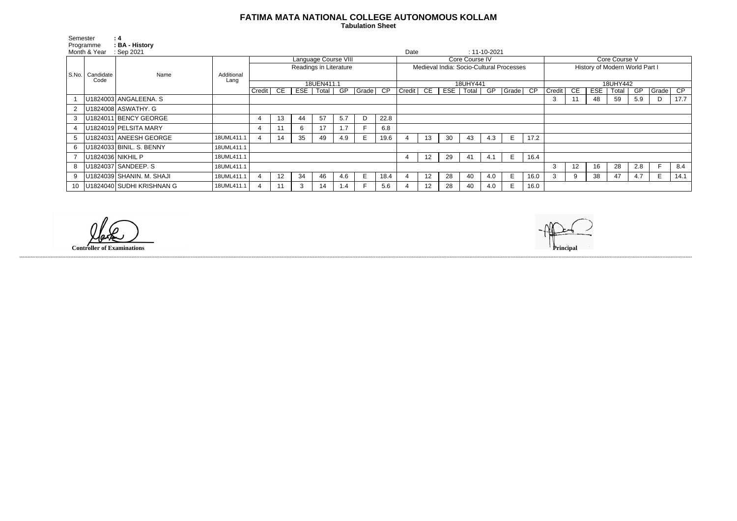## **FATIMA MATA NATIONAL COLLEGE AUTONOMOUS KOLLAM**

 **Tabulation Sheet** 

| Semester<br>Programme |                   | $\therefore$ 4<br>: BA - History |            |                                                                                       |    |    |                  |     |       |                 |                                          |                                    |            |       |     |            |           |                                |    |            |       |     |       |      |
|-----------------------|-------------------|----------------------------------|------------|---------------------------------------------------------------------------------------|----|----|------------------|-----|-------|-----------------|------------------------------------------|------------------------------------|------------|-------|-----|------------|-----------|--------------------------------|----|------------|-------|-----|-------|------|
| Month & Year          |                   | : Sep 2021                       |            | Date<br>$: 11 - 10 - 2021$<br>Language Course VIII<br>Core Course IV<br>Core Course V |    |    |                  |     |       |                 |                                          |                                    |            |       |     |            |           |                                |    |            |       |     |       |      |
| S.No.                 |                   | Name                             |            | Readings in Literature                                                                |    |    |                  |     |       |                 | Medieval India: Socio-Cultural Processes |                                    |            |       |     |            |           | History of Modern World Part I |    |            |       |     |       |      |
|                       | Candidate<br>Code |                                  | Additional |                                                                                       |    |    |                  |     |       |                 |                                          |                                    |            |       |     |            |           |                                |    |            |       |     |       |      |
|                       |                   |                                  | Lang       | 18UEN411.1                                                                            |    |    |                  |     |       |                 | 18UHY441                                 |                                    |            |       |     |            |           | 18UHY442                       |    |            |       |     |       |      |
|                       |                   |                                  |            | Credit                                                                                | CE |    | ESE   Total   GP |     | Srade | $\overline{CP}$ | Credit                                   | CE                                 | <b>ESE</b> | Total |     | GP   Grade | <b>CP</b> | Credit                         | CE | <b>ESE</b> | Total | GP  | Grade | CP   |
|                       |                   | U1824003 ANGALEENA. S            |            |                                                                                       |    |    |                  |     |       |                 |                                          |                                    |            |       |     |            |           | 3                              |    | 48         | 59    | 5.9 | D     | 17.7 |
|                       |                   | U1824008 ASWATHY. G              |            |                                                                                       |    |    |                  |     |       |                 |                                          |                                    |            |       |     |            |           |                                |    |            |       |     |       |      |
| 3                     |                   | U1824011 BENCY GEORGE            |            | 4                                                                                     | 13 | 44 | 57               | 5.7 | D     | 22.8            |                                          |                                    |            |       |     |            |           |                                |    |            |       |     |       |      |
|                       |                   | U1824019 PELSITA MARY            |            | 6<br>17<br>6.8                                                                        |    |    |                  |     |       |                 |                                          |                                    |            |       |     |            |           |                                |    |            |       |     |       |      |
| 5                     |                   | U1824031 ANEESH GEORGE           | 18UML411.1 |                                                                                       | 14 | 35 | 49               | 4.9 | E     | 19.6            |                                          | E<br>17.2<br>30<br>43<br>13<br>4.3 |            |       |     |            |           |                                |    |            |       |     |       |      |
| 6.                    |                   | U1824033 BINIL. S. BENNY         | 18UML411.1 |                                                                                       |    |    |                  |     |       |                 |                                          |                                    |            |       |     |            |           |                                |    |            |       |     |       |      |
|                       | U1824036 NIKHIL P |                                  | 18UML411.1 |                                                                                       |    |    |                  |     |       |                 |                                          | 12                                 | 29         | -41   | 4.1 | E          | 16.4      |                                |    |            |       |     |       |      |
| 8                     |                   | U1824037 SANDEEP. S              | 18UML411.1 |                                                                                       |    |    |                  |     |       |                 |                                          |                                    |            |       |     |            |           | 3                              | 12 | 16         | 28    | 2.8 |       | 8.4  |
| 9                     |                   | U1824039 SHANIN. M. SHAJI        | 18UML411.1 |                                                                                       | 12 | 34 | 46               | 4.6 | E     | 18.4            |                                          | 12                                 | 28         | 40    | 4.0 | E.         | 16.0      | 3                              |    | 38         | 47    | 4.7 | E.    | 14.1 |
|                       |                   | 10   U1824040 SUDHI KRISHNAN G   | 18UML411.  |                                                                                       |    | 3  | 14               | 1.4 |       | 5.6             |                                          | 12                                 | 28         | 40    | 4.0 | E.         | 16.0      |                                |    |            |       |     |       |      |

------------------------------------------------------------------------------------------------------------------------------------------------------------------------------------------------------------------------------------------------------------------------------------------------------------------------------------------------------------------------------------------------------------------------

**Controller of Examinations**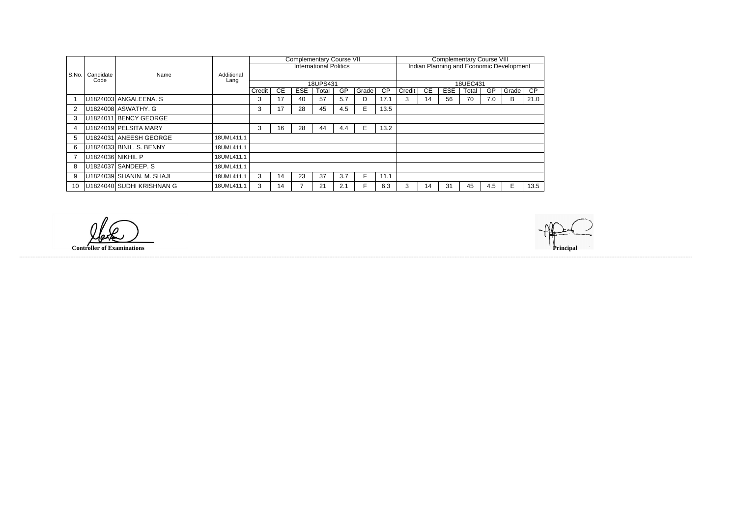|       |                   |                           |                    | <b>Complementary Course VII</b> |    |            |                               |     |       |                                          |        | <b>Complementary Course VIII</b> |            |       |     |       |      |  |  |
|-------|-------------------|---------------------------|--------------------|---------------------------------|----|------------|-------------------------------|-----|-------|------------------------------------------|--------|----------------------------------|------------|-------|-----|-------|------|--|--|
|       |                   | Name                      | Additional<br>Lang |                                 |    |            | <b>International Politics</b> |     |       | Indian Planning and Economic Development |        |                                  |            |       |     |       |      |  |  |
| S.No. | Candidate         |                           |                    |                                 |    |            |                               |     |       |                                          |        |                                  |            |       |     |       |      |  |  |
|       | Code              |                           |                    |                                 |    |            | 18UPS431                      |     |       | 18UEC431                                 |        |                                  |            |       |     |       |      |  |  |
|       |                   |                           |                    | Credit                          | CE | <b>ESE</b> | Total                         | GP  | Grade | <b>CP</b>                                | Credit | CE.                              | <b>ESE</b> | Total | GP  | Grade | CP.  |  |  |
|       |                   | U1824003 ANGALEENA. S     |                    | 3                               | 17 | 40         | 57                            | 5.7 | D     | 17.1                                     | 3      | 14                               | 56         | 70    | 7.0 | B     | 21.0 |  |  |
|       |                   | U1824008 ASWATHY. G       |                    | 3                               | 17 | 28         | 45                            | 4.5 | E.    | 13.5                                     |        |                                  |            |       |     |       |      |  |  |
| 3     |                   | U1824011 BENCY GEORGE     |                    |                                 |    |            |                               |     |       |                                          |        |                                  |            |       |     |       |      |  |  |
| -4    |                   | U1824019 PELSITA MARY     |                    | 3                               | 16 | 28         | 44                            | 4.4 | E.    | 13.2                                     |        |                                  |            |       |     |       |      |  |  |
| -5    |                   | U1824031 ANEESH GEORGE    | 18UML411.1         |                                 |    |            |                               |     |       |                                          |        |                                  |            |       |     |       |      |  |  |
| -6    |                   | U1824033 BINIL. S. BENNY  | 18UML411.1         |                                 |    |            |                               |     |       |                                          |        |                                  |            |       |     |       |      |  |  |
|       | U1824036 NIKHIL P |                           | 18UML411.1         |                                 |    |            |                               |     |       |                                          |        |                                  |            |       |     |       |      |  |  |
| -8    |                   | U1824037 SANDEEP. S       | 18UML411.1         |                                 |    |            |                               |     |       |                                          |        |                                  |            |       |     |       |      |  |  |
| -9    |                   | U1824039 SHANIN. M. SHAJI | 18UML411.1         | 3                               | 14 | 23         | 37                            | 3.7 | Е     | 11.1                                     |        |                                  |            |       |     |       |      |  |  |
| 10    |                   | U1824040 SUDHI KRISHNAN G | 18UML411.1         | 3                               | 14 |            | 21                            | 2.1 |       | 6.3                                      | د.     | 14                               | 31         | 45    | 4.5 | E.    | 13.5 |  |  |

------------------------------------------------------------------------------------------------------------------------------------------------------------------------------------------------------------------------------------------------------------------------------------------------------------------------------------------------------------------------------------------------------------------------

lak

**Controller of Examinations**